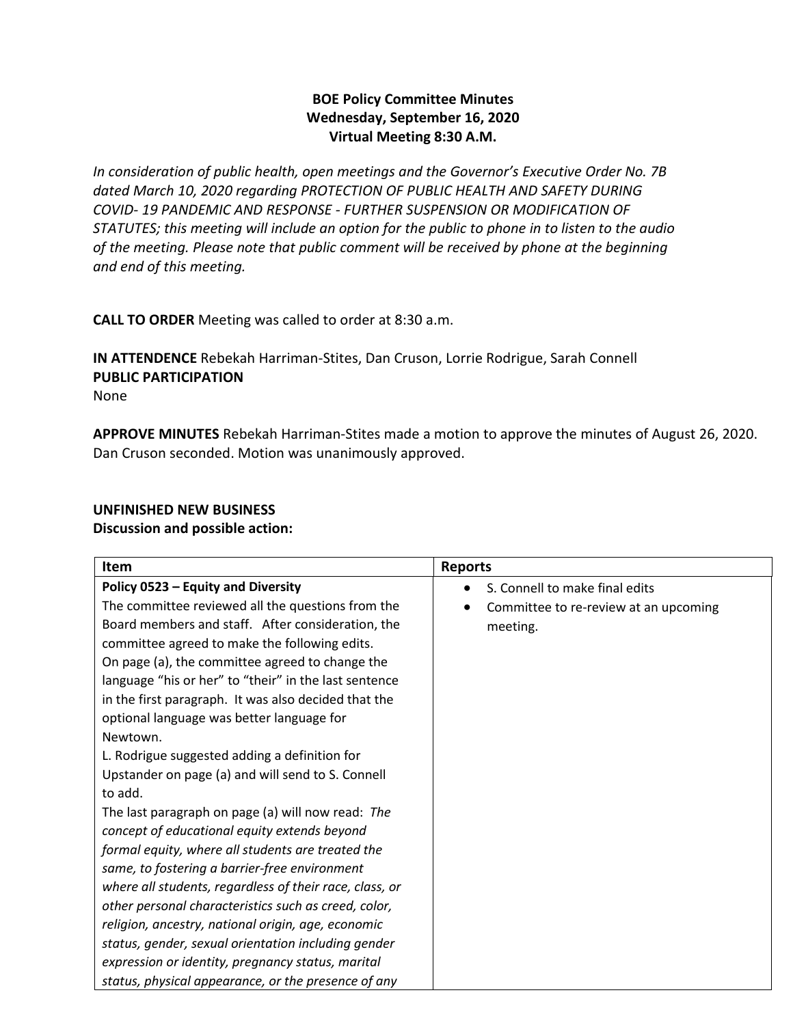# **BOE Policy Committee Minutes Wednesday, September 16, 2020 Virtual Meeting 8:30 A.M.**

*In consideration of public health, open meetings and the Governor's Executive Order No. 7B dated March 10, 2020 regarding PROTECTION OF PUBLIC HEALTH AND SAFETY DURING COVID- 19 PANDEMIC AND RESPONSE - FURTHER SUSPENSION OR MODIFICATION OF STATUTES; this meeting will include an option for the public to phone in to listen to the audio of the meeting. Please note that public comment will be received by phone at the beginning and end of this meeting.*

**CALL TO ORDER** Meeting was called to order at 8:30 a.m.

**IN ATTENDENCE** Rebekah Harriman-Stites, Dan Cruson, Lorrie Rodrigue, Sarah Connell **PUBLIC PARTICIPATION**  None

**APPROVE MINUTES** Rebekah Harriman-Stites made a motion to approve the minutes of August 26, 2020. Dan Cruson seconded. Motion was unanimously approved.

# **UNFINISHED NEW BUSINESS**

### **Discussion and possible action:**

| Item                                                                                                                                                                                                                                                                                                                                                                     | <b>Reports</b>                                    |
|--------------------------------------------------------------------------------------------------------------------------------------------------------------------------------------------------------------------------------------------------------------------------------------------------------------------------------------------------------------------------|---------------------------------------------------|
| Policy 0523 - Equity and Diversity                                                                                                                                                                                                                                                                                                                                       | S. Connell to make final edits                    |
| The committee reviewed all the questions from the<br>Board members and staff. After consideration, the<br>committee agreed to make the following edits.<br>On page (a), the committee agreed to change the<br>language "his or her" to "their" in the last sentence<br>in the first paragraph. It was also decided that the<br>optional language was better language for | Committee to re-review at an upcoming<br>meeting. |
| Newtown.<br>L. Rodrigue suggested adding a definition for<br>Upstander on page (a) and will send to S. Connell<br>to add.                                                                                                                                                                                                                                                |                                                   |
| The last paragraph on page (a) will now read: The<br>concept of educational equity extends beyond<br>formal equity, where all students are treated the<br>same, to fostering a barrier-free environment                                                                                                                                                                  |                                                   |
| where all students, regardless of their race, class, or<br>other personal characteristics such as creed, color,<br>religion, ancestry, national origin, age, economic<br>status, gender, sexual orientation including gender<br>expression or identity, pregnancy status, marital<br>status, physical appearance, or the presence of any                                 |                                                   |